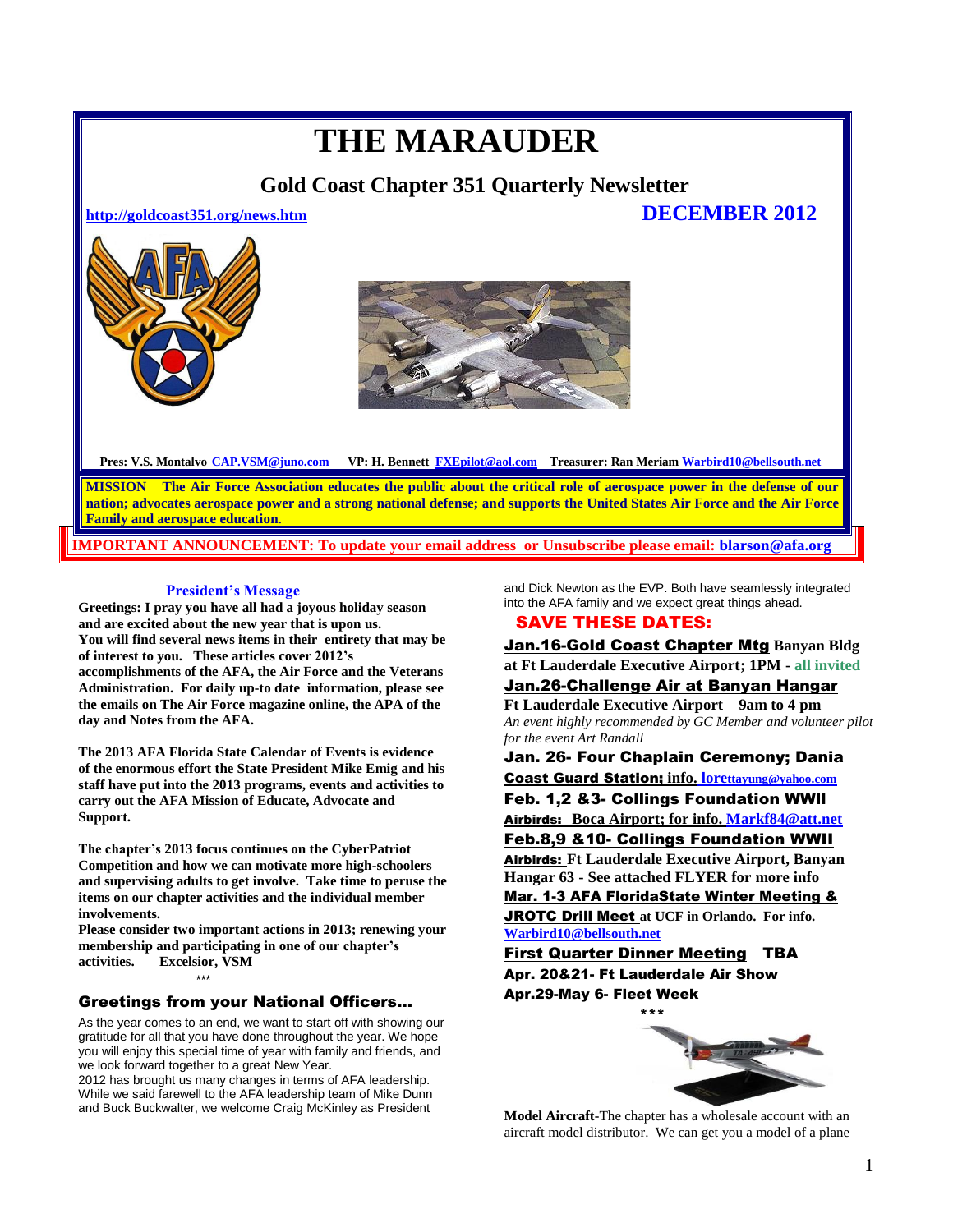# **THE MARAUDER**

 **Gold Coast Chapter 351 Quarterly Newsletter** 

**<http://goldcoast351.org/news.htm>DECEMBER 2012** 



**Pres: V.S. Montalvo CAP.VSM@juno.com VP: H. Bennett [FXEpilot@aol.com](mailto:FXEpilot@aol.com) Treasurer: Ran Meriam Warbird10@bellsouth.net**

**MISSION The Air Force Association educates the public about the critical role of aerospace power in the defense of our nation; advocates aerospace power and a strong national defense; and supports the United States Air Force and the Air Force Family and aerospace education**.

**PORTANT ANNOUNCEMENT: To update your email address or Unsubscribe please email: blarson@afa.org** 

#### **President's Message**

**Greetings: I pray you have all had a joyous holiday season and are excited about the new year that is upon us. You will find several news items in their entirety that may be of interest to you. These articles cover 2012's accomplishments of the AFA, the Air Force and the Veterans Administration. For daily up-to date information, please see the emails on The Air Force magazine online, the APA of the day and Notes from the AFA.**

**The 2013 AFA Florida State Calendar of Events is evidence of the enormous effort the State President Mike Emig and his staff have put into the 2013 programs, events and activities to carry out the AFA Mission of Educate, Advocate and Support.** 

**The chapter's 2013 focus continues on the CyberPatriot Competition and how we can motivate more high-schoolers and supervising adults to get involve. Take time to peruse the items on our chapter activities and the individual member involvements.**

**Please consider two important actions in 2013; renewing your membership and participating in one of our chapter's activities. Excelsior, VSM**

### Greetings from your National Officers...

\*\*\*

As the year comes to an end, we want to start off with showing our gratitude for all that you have done throughout the year. We hope you will enjoy this special time of year with family and friends, and we look forward together to a great New Year.

2012 has brought us many changes in terms of AFA leadership. While we said farewell to the AFA leadership team of Mike Dunn and Buck Buckwalter, we welcome Craig McKinley as President

and Dick Newton as the EVP. Both have seamlessly integrated into the AFA family and we expect great things ahead.

### SAVE THESE DATES:

Jan.16-Gold Coast Chapter Mtg **Banyan Bldg at Ft Lauderdale Executive Airport; 1PM - all invited** Jan.26-Challenge Air at Banyan Hangar

**Ft Lauderdale Executive Airport 9am to 4 pm** *An event highly recommended by GC Member and volunteer pilot for the event Art Randall*

Jan. 26- Four Chaplain Ceremony; Dania Coast Guard Station; **info. lore[ttayung@yahoo.com](mailto:info.%20lorettayung@yahoo.com)**

Feb. 1,2 &3- Collings Foundation WWll Airbirds: **Boca Airport; for info. Markf84@att.net**

Feb.8,9 &10- Collings Foundation WWII

Airbirds: **Ft Lauderdale Executive Airport, Banyan Hangar 63 - See attached FLYER for more info**  Mar. 1-3 AFA FloridaState Winter Meeting & JROTC Drill Meet **at UCF in Orlando. For info. [Warbird10@bellsouth.net](mailto:Warbird10@bellsouth.net)**

First Quarter Dinner Meeting TBA Apr. 20&21- Ft Lauderdale Air Show Apr.29-May 6- Fleet Week



**Model Aircraft-**The chapter has a wholesale account with an aircraft model distributor. We can get you a model of a plane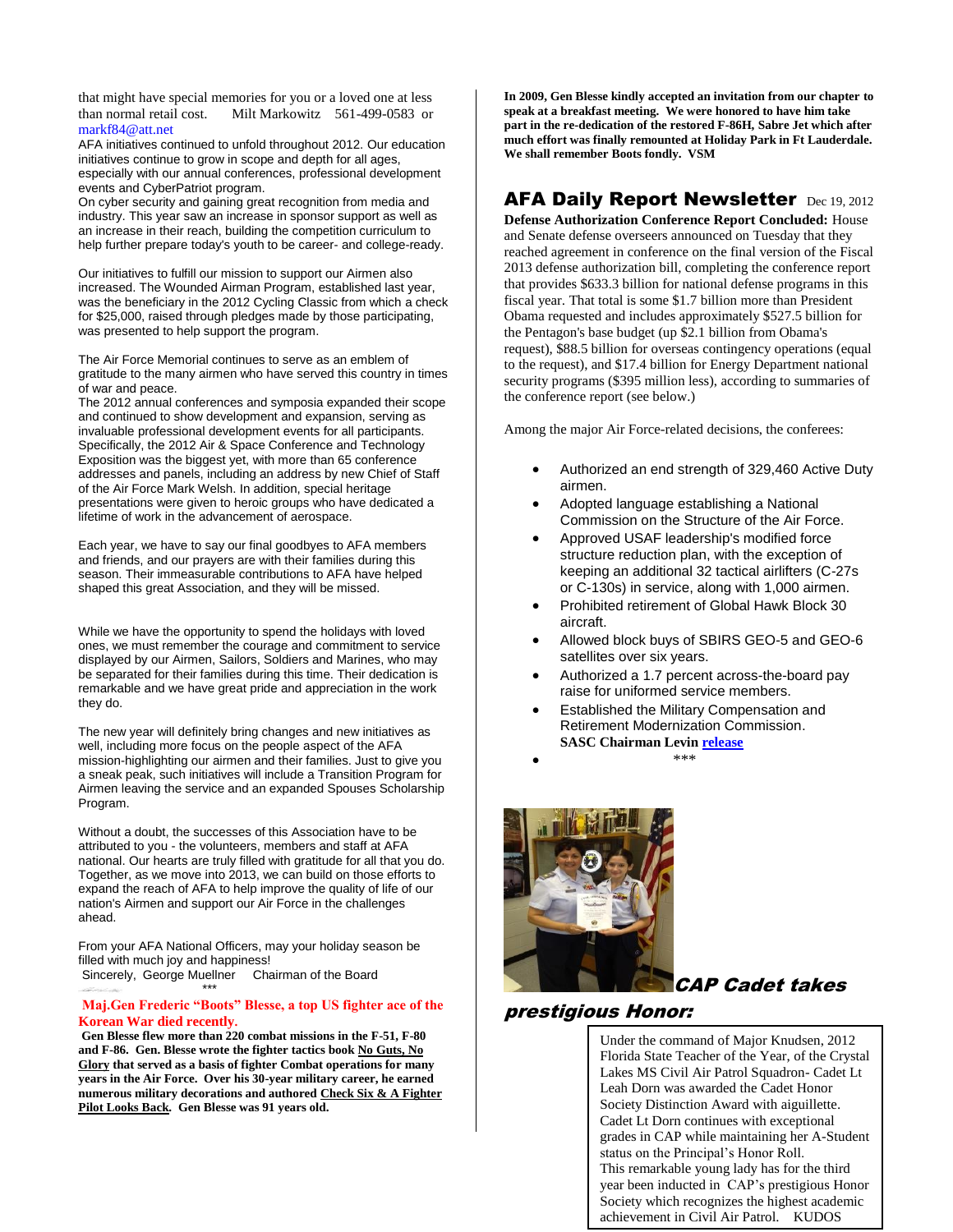that might have special memories for you or a loved one at less<br>than normal retail cost. Milt Markowitz 561-499-0583 or Milt Markowitz 561-499-0583 or markf84@att.net

AFA initiatives continued to unfold throughout 2012. Our education initiatives continue to grow in scope and depth for all ages, especially with our annual conferences, professional development events and CyberPatriot program.

On cyber security and gaining great recognition from media and industry. This year saw an increase in sponsor support as well as an increase in their reach, building the competition curriculum to help further prepare today's youth to be career- and college-ready.

Our initiatives to fulfill our mission to support our Airmen also increased. The Wounded Airman Program, established last year, was the beneficiary in the 2012 Cycling Classic from which a check for \$25,000, raised through pledges made by those participating, was presented to help support the program.

The Air Force Memorial continues to serve as an emblem of gratitude to the many airmen who have served this country in times of war and peace.

The 2012 annual conferences and symposia expanded their scope and continued to show development and expansion, serving as invaluable professional development events for all participants. Specifically, the 2012 Air & Space Conference and Technology Exposition was the biggest yet, with more than 65 conference addresses and panels, including an address by new Chief of Staff of the Air Force Mark Welsh. In addition, special heritage presentations were given to heroic groups who have dedicated a lifetime of work in the advancement of aerospace.

Each year, we have to say our final goodbyes to AFA members and friends, and our prayers are with their families during this season. Their immeasurable contributions to AFA have helped shaped this great Association, and they will be missed.

While we have the opportunity to spend the holidays with loved ones, we must remember the courage and commitment to service displayed by our Airmen, Sailors, Soldiers and Marines, who may be separated for their families during this time. Their dedication is remarkable and we have great pride and appreciation in the work they do.

The new year will definitely bring changes and new initiatives as well, including more focus on the people aspect of the AFA mission-highlighting our airmen and their families. Just to give you a sneak peak, such initiatives will include a Transition Program for Airmen leaving the service and an expanded Spouses Scholarship Program.

Without a doubt, the successes of this Association have to be attributed to you - the volunteers, members and staff at AFA national. Our hearts are truly filled with gratitude for all that you do. Together, as we move into 2013, we can build on those efforts to expand the reach of AFA to help improve the quality of life of our nation's Airmen and support our Air Force in the challenges ahead.

From your AFA National Officers, may your holiday season be filled with much joy and happiness! Sincerely, George Muellner Chairman of the Board

\*\*\*

#### **Maj.Gen Frederic "Boots" Blesse, a top US fighter ace of the Korean War died recently.**

**Gen Blesse flew more than 220 combat missions in the F-51, F-80 and F-86. Gen. Blesse wrote the fighter tactics book No Guts, No Glory that served as a basis of fighter Combat operations for many years in the Air Force. Over his 30-year military career, he earned numerous military decorations and authored Check Six & A Fighter Pilot Looks Back. Gen Blesse was 91 years old.**

**In 2009, Gen Blesse kindly accepted an invitation from our chapter to speak at a breakfast meeting. We were honored to have him take part in the re-dedication of the restored F-86H, Sabre Jet which after much effort was finally remounted at Holiday Park in Ft Lauderdale. We shall remember Boots fondly. VSM**

# AFA Daily Report Newsletter Dec 19, 2012

**Defense Authorization Conference Report Concluded:** House and Senate defense overseers announced on Tuesday that they reached agreement in conference on the final version of the Fiscal 2013 defense authorization bill, completing the conference report that provides \$633.3 billion for national defense programs in this fiscal year. That total is some \$1.7 billion more than President Obama requested and includes approximately \$527.5 billion for the Pentagon's base budget (up \$2.1 billion from Obama's request), \$88.5 billion for overseas contingency operations (equal to the request), and \$17.4 billion for Energy Department national security programs (\$395 million less), according to summaries of the conference report (see below.)

Among the major Air Force-related decisions, the conferees:

- Authorized an end strength of 329,460 Active Duty airmen.
- Adopted language establishing a National Commission on the Structure of the Air Force.
- Approved USAF leadership's modified force structure reduction plan, with the exception of keeping an additional 32 tactical airlifters (C-27s or C-130s) in service, along with 1,000 airmen.
- Prohibited retirement of Global Hawk Block 30 aircraft.
- Allowed block buys of SBIRS GEO-5 and GEO-6 satellites over six years.
- Authorized a 1.7 percent across-the-board pay raise for uniformed service members.
- Established the Military Compensation and Retirement Modernization Commission. **SASC Chairman Levi[n release](http://r.listpilot.net/c/afa/7pkj7fx/3ayws)**
- $****$



# CAP Cadet takes

# prestigious Honor:

Excelsior!

Under the command of Major Knudsen, 2012 Florida State Teacher of the Year, of the Crystal Lakes MS Civil Air Patrol Squadron- Cadet Lt Leah Dorn was awarded the Cadet Honor Society Distinction Award with aiguillette. Cadet Lt Dorn continues with exceptional grades in CAP while maintaining her A-Student status on the Principal's Honor Roll. This remarkable young lady has for the third year been inducted in CAP's prestigious Honor Society which recognizes the highest academic achievement in Civil Air Patrol. KUDOS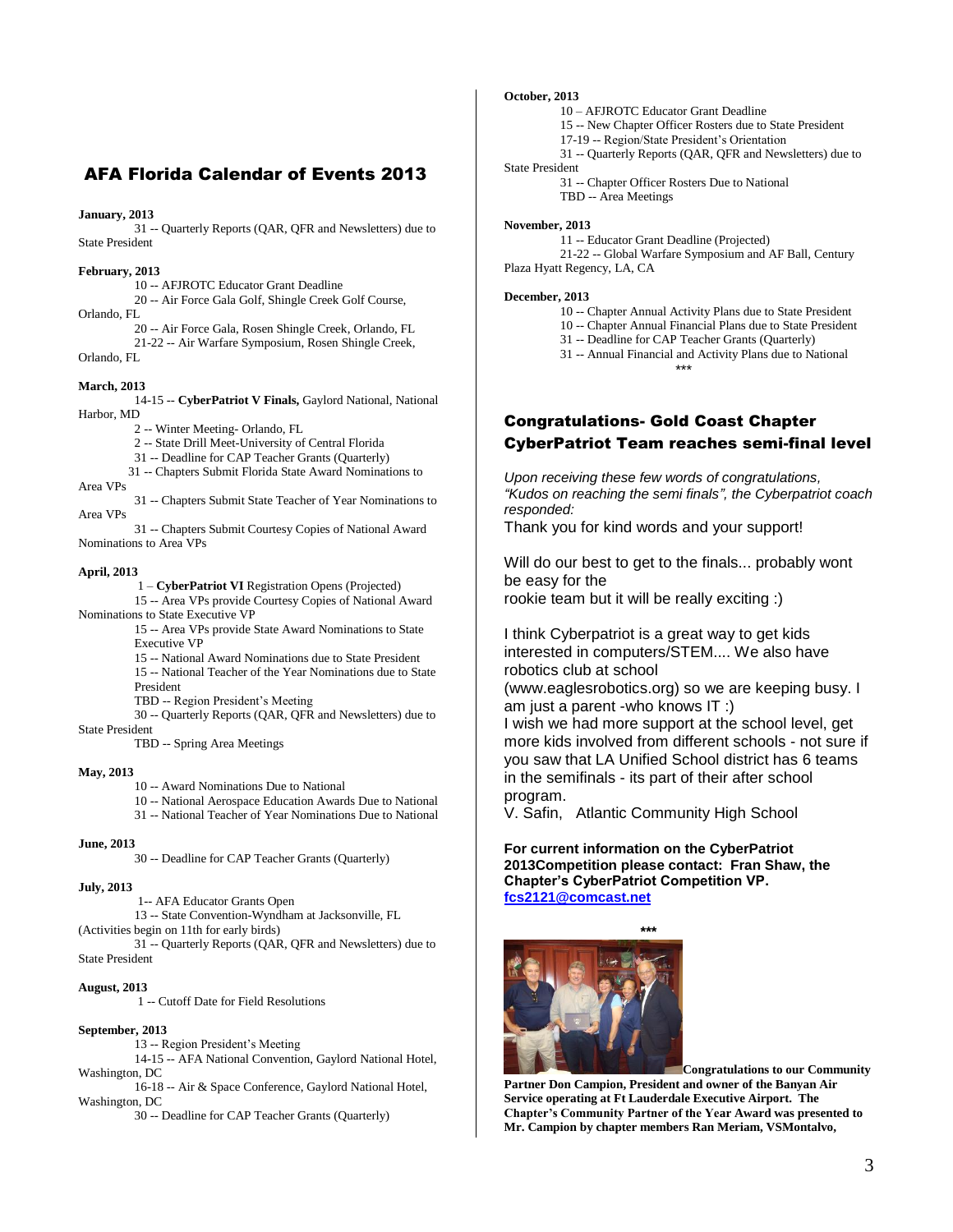# AFA Florida Calendar of Events 2013

#### **January, 2013**

31 -- Quarterly Reports (QAR, QFR and Newsletters) due to State President

#### **February, 2013**

10 -- AFJROTC Educator Grant Deadline

20 -- Air Force Gala Golf, Shingle Creek Golf Course, Orlando, FL

- 20 -- Air Force Gala, Rosen Shingle Creek, Orlando, FL
- 21-22 -- Air Warfare Symposium, Rosen Shingle Creek,

Orlando, FL

#### **March, 2013**

14-15 -- **CyberPatriot V Finals,** Gaylord National, National Harbor, MD

2 -- Winter Meeting- Orlando, FL

2 -- State Drill Meet-University of Central Florida

- 31 -- Deadline for CAP Teacher Grants (Quarterly)
- 31 -- Chapters Submit Florida State Award Nominations to Area VPs
- 31 -- Chapters Submit State Teacher of Year Nominations to Area VPs

31 -- Chapters Submit Courtesy Copies of National Award Nominations to Area VPs

#### **April, 2013**

1 – **CyberPatriot VI** Registration Opens (Projected) 15 -- Area VPs provide Courtesy Copies of National Award Nominations to State Executive VP

> 15 -- Area VPs provide State Award Nominations to State Executive VP

15 -- National Award Nominations due to State President

15 -- National Teacher of the Year Nominations due to State President

TBD -- Region President's Meeting

30 -- Quarterly Reports (QAR, QFR and Newsletters) due to State President

TBD -- Spring Area Meetings

#### **May, 2013**

- 10 -- Award Nominations Due to National
- 10 -- National Aerospace Education Awards Due to National

31 -- National Teacher of Year Nominations Due to National

#### **June, 2013**

30 -- Deadline for CAP Teacher Grants (Quarterly)

#### **July, 2013**

1-- AFA Educator Grants Open

13 -- State Convention-Wyndham at Jacksonville, FL

(Activities begin on 11th for early birds) 31 -- Quarterly Reports (QAR, QFR and Newsletters) due to State President

#### **August, 2013**

1 -- Cutoff Date for Field Resolutions

#### **September, 2013**

13 -- Region President's Meeting

14-15 -- AFA National Convention, Gaylord National Hotel, Washington, DC

16-18 -- Air & Space Conference, Gaylord National Hotel, Washington, DC

30 -- Deadline for CAP Teacher Grants (Quarterly)

#### **October, 2013**

10 – AFJROTC Educator Grant Deadline

15 -- New Chapter Officer Rosters due to State President 17-19 -- Region/State President's Orientation

31 -- Quarterly Reports (QAR, QFR and Newsletters) due to

#### State President

31 -- Chapter Officer Rosters Due to National TBD -- Area Meetings

#### **November, 2013**

11 -- Educator Grant Deadline (Projected) 21-22 -- Global Warfare Symposium and AF Ball, Century

Plaza Hyatt Regency, LA, CA

#### **December, 2013**

10 -- Chapter Annual Activity Plans due to State President

10 -- Chapter Annual Financial Plans due to State President

31 -- Deadline for CAP Teacher Grants (Quarterly)

31 -- Annual Financial and Activity Plans due to National \*\*\*

# Congratulations- Gold Coast Chapter CyberPatriot Team reaches semi-final level

*Upon receiving these few words of congratulations, "Kudos on reaching the semi finals", the Cyberpatriot coach responded:* 

Thank you for kind words and your support!

Will do our best to get to the finals... probably wont be easy for the rookie team but it will be really exciting :)

I think Cyberpatriot is a great way to get kids interested in computers/STEM.... We also have robotics club at school (www.eaglesrobotics.org) so we are keeping busy. I am just a parent -who knows IT :)

I wish we had more support at the school level, get more kids involved from different schools - not sure if you saw that LA Unified School district has 6 teams in the semifinals - its part of their after school program.

V. Safin, Atlantic Community High School

**For current information on the CyberPatriot 2013Competition please contact: Fran Shaw, the Chapter's CyberPatriot Competition VP. [fcs2121@comcast.net](mailto:fcs2121@comcast.net)**



**Congratulations to our Community Partner Don Campion, President and owner of the Banyan Air Service operating at Ft Lauderdale Executive Airport. The Chapter's Community Partner of the Year Award was presented to Mr. Campion by chapter members Ran Meriam, VSMontalvo,**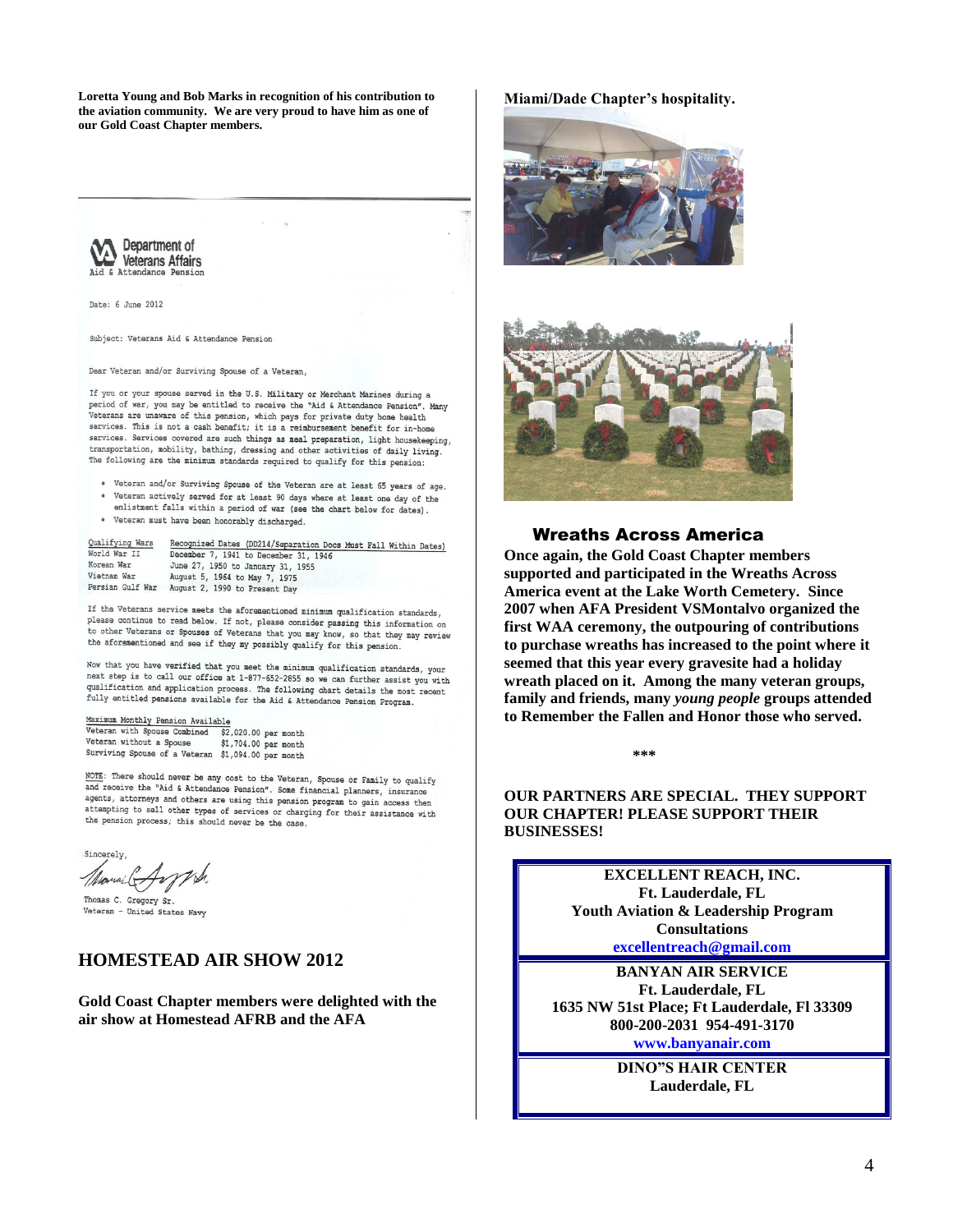**Loretta Young and Bob Marks in recognition of his contribution to the aviation community. We are very proud to have him as one of our Gold Coast Chapter members.**



Date: 6 June 2012

Subject: Veterans Aid & Attendance Pension

Dear Veteran and/or Surviving Spouse of a Veteran,

If you or your spouse served in the U.S. Military or Merchant Marines during a period of war, you may be entitled to receive the "Aid & Attendance Pension". Many<br>Veterans are unaware of this pension, which pays for private duty home health services. This is not a cash benefit; it is a reimbursement benefit for in-home services. Services covered are such things as meal preparation, light housekeeping, transportation, mobility, bathing, dressing and other activities of daily living. The following are the minimum standards required to qualify for this pension:

- . Veteran and/or Surviving Spouse of the Veteran are at least 65 years of age. • Veteran actively served for at least 90 days where at least one day of the enlistment falls within a period of war (see the chart below for dates).
- . Veteran must have been honorably discharged.

| Qualifying Wars  | Recognized Dates (DD214/Separation Docs Must Fall Within Dates) |
|------------------|-----------------------------------------------------------------|
| World War II     | December 7, 1941 to December 31, 1946                           |
| Korean War       | June 27, 1950 to January 31, 1955                               |
| Vietnam War      | August 5, 1964 to May 7, 1975                                   |
| Persian Gulf War | August 2, 1990 to Present Day                                   |

If the Veterans service meets the aforementioned minimum qualification standards, please continue to read below. If not, please consider passing this information on<br>the state of the credible of the state of the state of the state of the state of the state of the state of the to other Veterans or Spouses of Veterans that you may know, so that they may review<br>the aforesans or Spouses of Veterans that you may know, so that they may review the aforementioned and see if they my possibly qualify for this pension.

Now that you have verified that you meet the minimum qualification standards, your next step is to call our office at 1-877-652-2855 so we can further assist you with qualification and application process. The following chart details the most recent fully entitled pensions available for the Aid & Attendance Pension Program.

Maximum Monthly Pension Available Veteran with Spouse Combined  $$2,020.00$  per month Veteran without a Spouse \$1,704.00 per month Surviving Spouse of a Veteran \$1,094.00 per month

NOTE: There should never be any cost to the Veteran, Spouse or Family to qualify<br>and receive the "Aid & Attendance Pension". Some financial planners, insurance<br>agents, attorneys and others are using this special planners, agents, attorneys and others are using this pension program to gain access then attempting to sell other types of services or charging for their assistance with the pension process; this should never be the case.

Sincerely

Thomas C. Gregory Sr. Veteran - United States Navy

## **HOMESTEAD AIR SHOW 2012**

**Gold Coast Chapter members were delighted with the air show at Homestead AFRB and the AFA** 

#### **Miami/Dade Chapter's hospitality.**





### Wreaths Across America

**Once again, the Gold Coast Chapter members supported and participated in the Wreaths Across America event at the Lake Worth Cemetery. Since 2007 when AFA President VSMontalvo organized the first WAA ceremony, the outpouring of contributions to purchase wreaths has increased to the point where it seemed that this year every gravesite had a holiday wreath placed on it. Among the many veteran groups, family and friends, many** *young people* **groups attended to Remember the Fallen and Honor those who served.** 

**\*\*\*** 

**OUR PARTNERS ARE SPECIAL. THEY SUPPORT OUR CHAPTER! PLEASE SUPPORT THEIR BUSINESSES!**

> **EXCELLENT REACH, INC. Ft. Lauderdale, FL Youth Aviation & Leadership Program Consultations excellentreach@gmail.com**

**BANYAN AIR SERVICE Ft. Lauderdale, FL 1635 NW 51st Place; Ft Lauderdale, Fl 33309 800-200-2031 954-491-3170 www.banyanair.com**

> **DINO"S HAIR CENTER Lauderdale, FL**